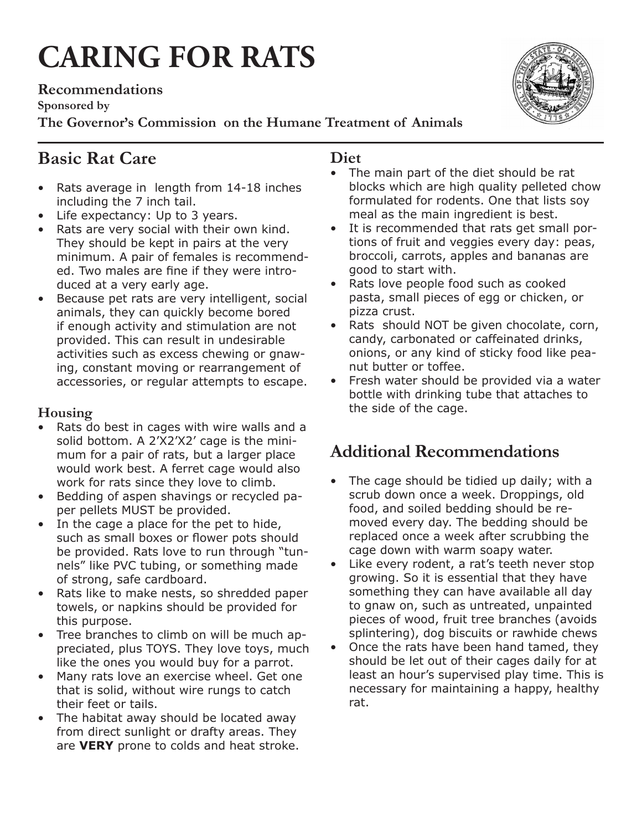# **CARING FOR RATS**

**Recommendations** 

**Sponsored by** 

**The Governor's Commission on the Humane Treatment of Animals**

# **Basic Rat Care**

- Rats average in length from 14-18 inches including the 7 inch tail.
- Life expectancy: Up to 3 years.
- Rats are very social with their own kind. They should be kept in pairs at the very minimum. A pair of females is recommended. Two males are fine if they were introduced at a very early age.
- Because pet rats are very intelligent, social animals, they can quickly become bored if enough activity and stimulation are not provided. This can result in undesirable activities such as excess chewing or gnawing, constant moving or rearrangement of accessories, or regular attempts to escape.

#### **Housing**

- Rats do best in cages with wire walls and a solid bottom. A 2'X2'X2' cage is the minimum for a pair of rats, but a larger place would work best. A ferret cage would also work for rats since they love to climb.
- Bedding of aspen shavings or recycled paper pellets MUST be provided.
- In the cage a place for the pet to hide, such as small boxes or flower pots should be provided. Rats love to run through "tunnels" like PVC tubing, or something made of strong, safe cardboard.
- Rats like to make nests, so shredded paper towels, or napkins should be provided for this purpose.
- Tree branches to climb on will be much appreciated, plus TOYS. They love toys, much like the ones you would buy for a parrot.
- Many rats love an exercise wheel. Get one that is solid, without wire rungs to catch their feet or tails.
- The habitat away should be located away from direct sunlight or drafty areas. They are **VERY** prone to colds and heat stroke.

# Diet<br>• Th

- The main part of the diet should be rat blocks which are high quality pelleted chow formulated for rodents. One that lists soy meal as the main ingredient is best.
- It is recommended that rats get small portions of fruit and veggies every day: peas, broccoli, carrots, apples and bananas are good to start with.
- Rats love people food such as cooked pasta, small pieces of egg or chicken, or pizza crust.
- Rats should NOT be given chocolate, corn, candy, carbonated or caffeinated drinks, onions, or any kind of sticky food like peanut butter or toffee.
- Fresh water should be provided via a water bottle with drinking tube that attaches to the side of the cage.

# **Additional Recommendations**

- The cage should be tidied up daily; with a scrub down once a week. Droppings, old food, and soiled bedding should be removed every day. The bedding should be replaced once a week after scrubbing the cage down with warm soapy water.
- Like every rodent, a rat's teeth never stop growing. So it is essential that they have something they can have available all day to gnaw on, such as untreated, unpainted pieces of wood, fruit tree branches (avoids splintering), dog biscuits or rawhide chews
- Once the rats have been hand tamed, they should be let out of their cages daily for at least an hour's supervised play time. This is necessary for maintaining a happy, healthy rat.